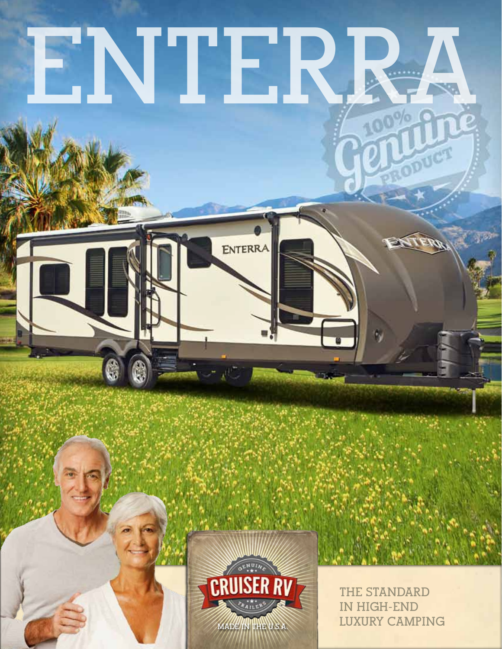# **ENTERRA**

ENTERRA



**THE STANDARD IN HIGH-END MADE IN THE U.S.A. LUXURY CAMPING** 

ODUCT

 $\mathscr{M}$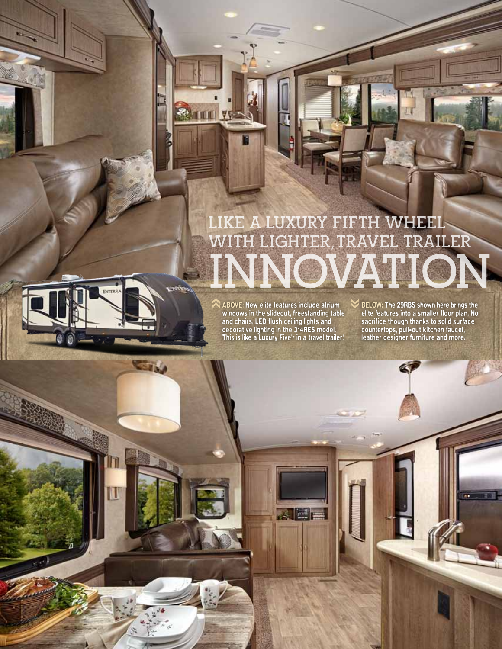# **LIKE A LUXURY FIFTH WHEEL WITH LIGHTER,TRAVEL TRAILER INNOVATION**

 $\blacktriangledown$ 

ABOVE: New elite features include atrium windows in the slideout, freestanding table and chairs, LED flush ceiling lights and decorative lighting in the 314RES model. This is like a Luxury Five'r in a travel trailer! hh

Aler

exite.

**STAG** 

**ENTERR** 

T

BELOW: The 29RBS shown here brings the elite features into a smaller floor plan. No sacrifice though thanks to solid surface countertops, pull-out kitchen faucet, leather designer furniture and more.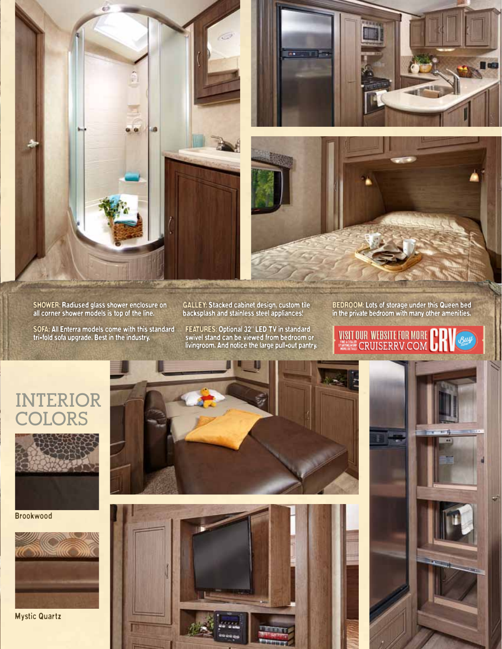

SHOWER: Radiused glass shower enclosure on all corner shower models is top of the line.

SOFA: All Enterra models come with this standard tri-fold sofa upgrade. Best in the industry.

GALLEY: Stacked cabinet design, custom tile backsplash and stainless steel appliances!

FEATURES: Optional 32" LED TV in standard swivel stand can be viewed from bedroom or livingroom. And notice the large pull-out pantry. BEDROOM: Lots of storage under this Queen bed in the private bedroom with many other amenities.



# **INTERIOR COLORS**



Brookwood



Mystic Quartz